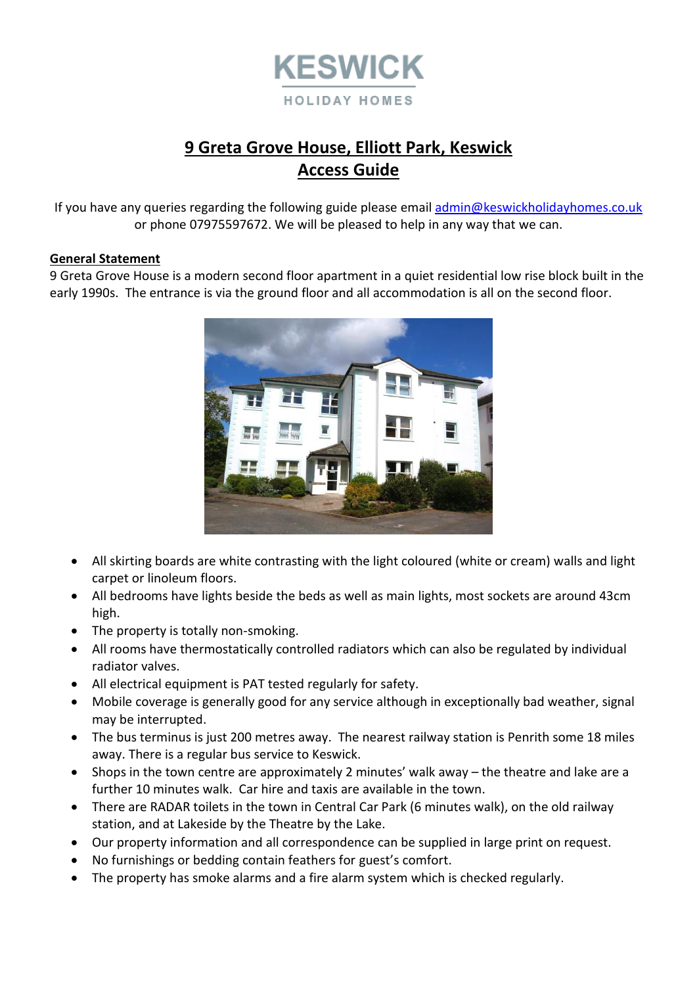

# **9 Greta Grove House, Elliott Park, Keswick Access Guide**

If you have any queries regarding the following guide please emai[l admin@keswickholidayhomes.co.uk](mailto:admin@keswickholidayhomes.co.uk) or phone 07975597672. We will be pleased to help in any way that we can.

# **General Statement**

9 Greta Grove House is a modern second floor apartment in a quiet residential low rise block built in the early 1990s. The entrance is via the ground floor and all accommodation is all on the second floor.



- All skirting boards are white contrasting with the light coloured (white or cream) walls and light carpet or linoleum floors.
- All bedrooms have lights beside the beds as well as main lights, most sockets are around 43cm high.
- The property is totally non-smoking.
- All rooms have thermostatically controlled radiators which can also be regulated by individual radiator valves.
- All electrical equipment is PAT tested regularly for safety.
- Mobile coverage is generally good for any service although in exceptionally bad weather, signal may be interrupted.
- The bus terminus is just 200 metres away. The nearest railway station is Penrith some 18 miles away. There is a regular bus service to Keswick.
- Shops in the town centre are approximately 2 minutes' walk away the theatre and lake are a further 10 minutes walk. Car hire and taxis are available in the town.
- There are RADAR toilets in the town in Central Car Park (6 minutes walk), on the old railway station, and at Lakeside by the Theatre by the Lake.
- Our property information and all correspondence can be supplied in large print on request.
- No furnishings or bedding contain feathers for guest's comfort.
- The property has smoke alarms and a fire alarm system which is checked regularly.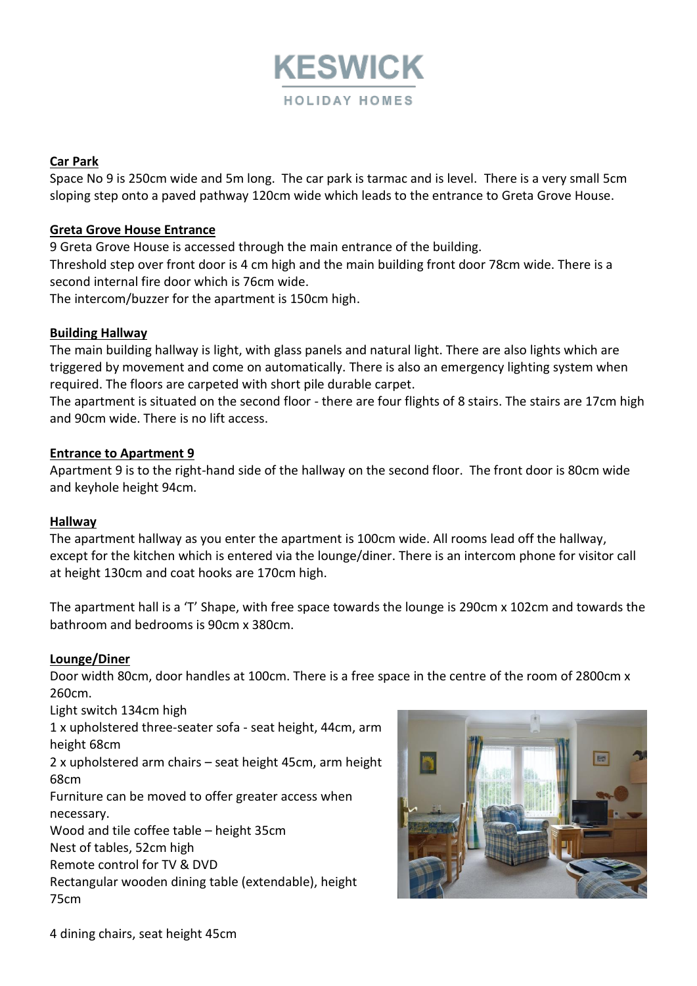

## **Car Park**

Space No 9 is 250cm wide and 5m long. The car park is tarmac and is level. There is a very small 5cm sloping step onto a paved pathway 120cm wide which leads to the entrance to Greta Grove House.

# **Greta Grove House Entrance**

9 Greta Grove House is accessed through the main entrance of the building. Threshold step over front door is 4 cm high and the main building front door 78cm wide. There is a second internal fire door which is 76cm wide. The intercom/buzzer for the apartment is 150cm high.

# **Building Hallway**

The main building hallway is light, with glass panels and natural light. There are also lights which are triggered by movement and come on automatically. There is also an emergency lighting system when required. The floors are carpeted with short pile durable carpet.

The apartment is situated on the second floor - there are four flights of 8 stairs. The stairs are 17cm high and 90cm wide. There is no lift access.

#### **Entrance to Apartment 9**

Apartment 9 is to the right-hand side of the hallway on the second floor. The front door is 80cm wide and keyhole height 94cm.

#### **Hallway**

The apartment hallway as you enter the apartment is 100cm wide. All rooms lead off the hallway, except for the kitchen which is entered via the lounge/diner. There is an intercom phone for visitor call at height 130cm and coat hooks are 170cm high.

The apartment hall is a 'T' Shape, with free space towards the lounge is 290cm x 102cm and towards the bathroom and bedrooms is 90cm x 380cm.

#### **Lounge/Diner**

Door width 80cm, door handles at 100cm. There is a free space in the centre of the room of 2800cm x 260cm.

Light switch 134cm high

1 x upholstered three-seater sofa - seat height, 44cm, arm height 68cm

2 x upholstered arm chairs – seat height 45cm, arm height 68cm

Furniture can be moved to offer greater access when necessary.

Wood and tile coffee table – height 35cm

Nest of tables, 52cm high

Remote control for TV & DVD

Rectangular wooden dining table (extendable), height 75cm

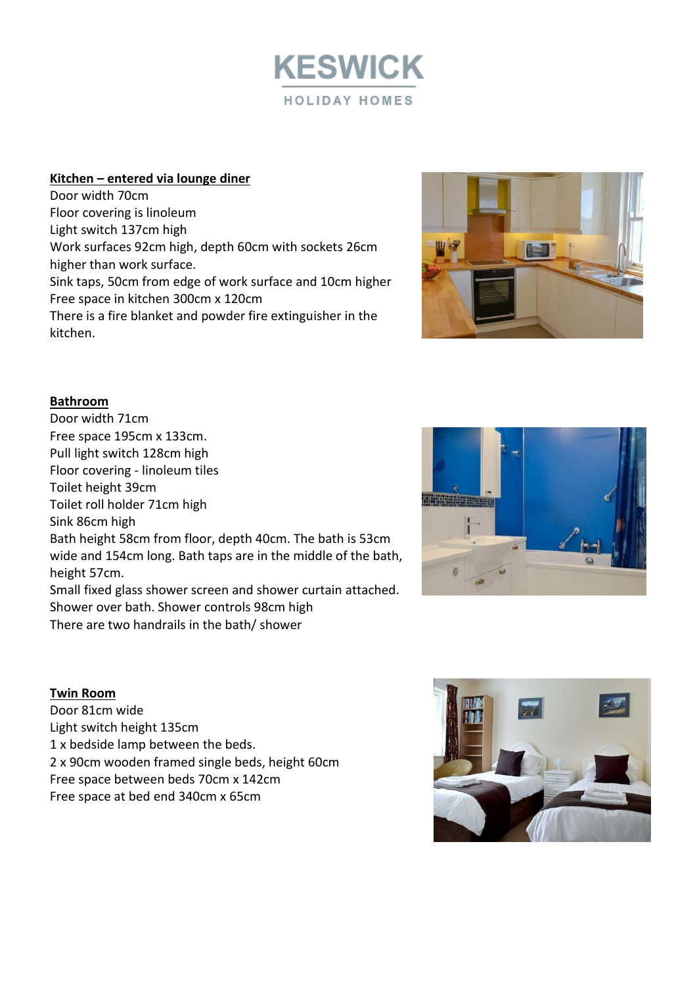

## **Kitchen – entered via lounge diner**

Door width 70cm Floor covering is linoleum Light switch 137cm high Work surfaces 92cm high, depth 60cm with sockets 26cm higher than work surface. Sink taps, 50cm from edge of work surface and 10cm higher Free space in kitchen 300cm x 120cm There is a fire blanket and powder fire extinguisher in the kitchen.



#### **Bathroom**

Door width 71cm Free space 195cm x 133cm. Pull light switch 128cm high Floor covering - linoleum tiles Toilet height 39cm Toilet roll holder 71cm high Sink 86cm high Bath height 58cm from floor, depth 40cm. The bath is 53cm wide and 154cm long. Bath taps are in the middle of the bath, height 57cm. Small fixed glass shower screen and shower curtain attached. Shower over bath. Shower controls 98cm high

There are two handrails in the bath/ shower

#### **Twin Room**

Door 81cm wide Light switch height 135cm 1 x bedside lamp between the beds. 2 x 90cm wooden framed single beds, height 60cm Free space between beds 70cm x 142cm Free space at bed end 340cm x 65cm